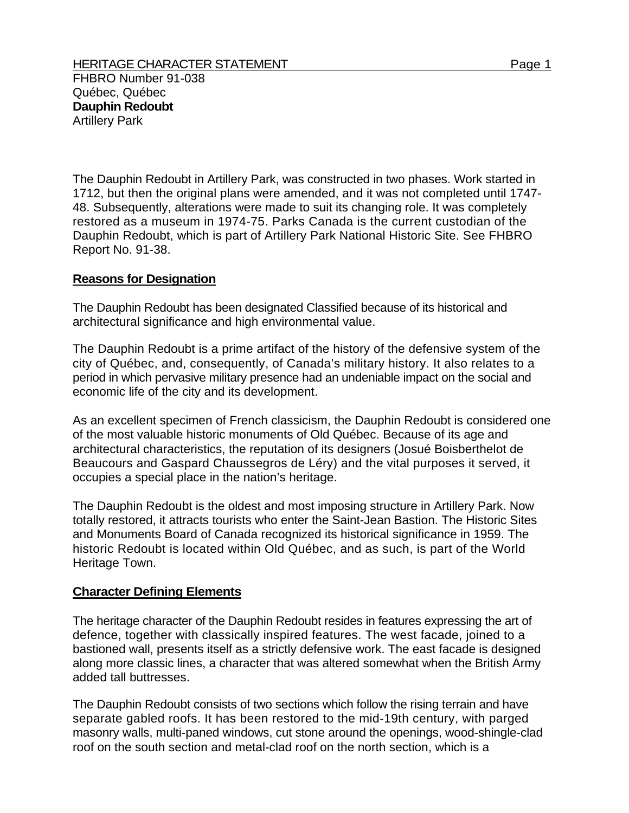The Dauphin Redoubt in Artillery Park, was constructed in two phases. Work started in 1712, but then the original plans were amended, and it was not completed until 1747- 48. Subsequently, alterations were made to suit its changing role. It was completely restored as a museum in 1974-75. Parks Canada is the current custodian of the Dauphin Redoubt, which is part of Artillery Park National Historic Site. See FHBRO Report No. 91-38.

## **Reasons for Designation**

The Dauphin Redoubt has been designated Classified because of its historical and architectural significance and high environmental value.

The Dauphin Redoubt is a prime artifact of the history of the defensive system of the city of Québec, and, consequently, of Canada's military history. It also relates to a period in which pervasive military presence had an undeniable impact on the social and economic life of the city and its development.

As an excellent specimen of French classicism, the Dauphin Redoubt is considered one of the most valuable historic monuments of Old Québec. Because of its age and architectural characteristics, the reputation of its designers (Josué Boisberthelot de Beaucours and Gaspard Chaussegros de Léry) and the vital purposes it served, it occupies a special place in the nation's heritage.

The Dauphin Redoubt is the oldest and most imposing structure in Artillery Park. Now totally restored, it attracts tourists who enter the Saint-Jean Bastion. The Historic Sites and Monuments Board of Canada recognized its historical significance in 1959. The historic Redoubt is located within Old Québec, and as such, is part of the World Heritage Town.

## **Character Defining Elements**

The heritage character of the Dauphin Redoubt resides in features expressing the art of defence, together with classically inspired features. The west facade, joined to a bastioned wall, presents itself as a strictly defensive work. The east facade is designed along more classic lines, a character that was altered somewhat when the British Army added tall buttresses.

The Dauphin Redoubt consists of two sections which follow the rising terrain and have separate gabled roofs. It has been restored to the mid-19th century, with parged masonry walls, multi-paned windows, cut stone around the openings, wood-shingle-clad roof on the south section and metal-clad roof on the north section, which is a